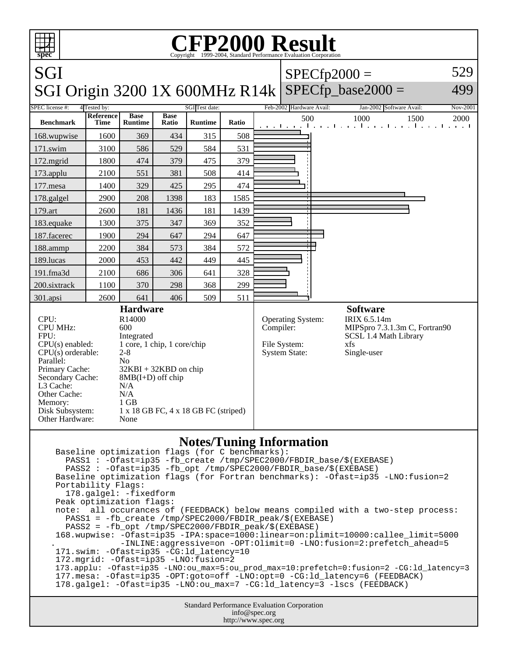| $\blacksquare$<br>₩                                                                                                                                                                                                                                                                                                                                                                                                                                                                                                                                                                                                                                                                                                                                                  | <b>CFP2000 Result</b><br>Copyright ©1999-2004, Standard Performance Evaluation Corporation<br>spec |                               |                      |                                  |           |                                                           |                                 |                                                                                                                 |                                                       |                  |  |
|----------------------------------------------------------------------------------------------------------------------------------------------------------------------------------------------------------------------------------------------------------------------------------------------------------------------------------------------------------------------------------------------------------------------------------------------------------------------------------------------------------------------------------------------------------------------------------------------------------------------------------------------------------------------------------------------------------------------------------------------------------------------|----------------------------------------------------------------------------------------------------|-------------------------------|----------------------|----------------------------------|-----------|-----------------------------------------------------------|---------------------------------|-----------------------------------------------------------------------------------------------------------------|-------------------------------------------------------|------------------|--|
| SGI                                                                                                                                                                                                                                                                                                                                                                                                                                                                                                                                                                                                                                                                                                                                                                  |                                                                                                    |                               |                      |                                  |           |                                                           |                                 |                                                                                                                 | $SPECfp2000 =$                                        | 529              |  |
| SGI Origin 3200 1X 600MHz R14k   SPECfp_base2000 =<br>499                                                                                                                                                                                                                                                                                                                                                                                                                                                                                                                                                                                                                                                                                                            |                                                                                                    |                               |                      |                                  |           |                                                           |                                 |                                                                                                                 |                                                       |                  |  |
| <b>SPEC</b> license #:<br><b>Benchmark</b>                                                                                                                                                                                                                                                                                                                                                                                                                                                                                                                                                                                                                                                                                                                           | 4 Tested by:<br>Reference<br>Time                                                                  | <b>Base</b><br><b>Runtime</b> | <b>Base</b><br>Ratio | SGI Test date:<br><b>Runtime</b> | Ratio     |                                                           | Feb-2002 Hardware Avail:<br>500 |                                                                                                                 | Jan-2002 Software Avail:<br>1000<br>1500              | Nov-2001<br>2000 |  |
| 168.wupwise                                                                                                                                                                                                                                                                                                                                                                                                                                                                                                                                                                                                                                                                                                                                                          | 1600                                                                                               | 369                           | 434                  | 315                              | 508       |                                                           |                                 |                                                                                                                 | and the and the anti-and the anti-and-distribution of |                  |  |
| 171.swim                                                                                                                                                                                                                                                                                                                                                                                                                                                                                                                                                                                                                                                                                                                                                             | 3100                                                                                               | 586                           | 529                  | 584                              | 531       |                                                           |                                 |                                                                                                                 |                                                       |                  |  |
| $172$ .mgrid                                                                                                                                                                                                                                                                                                                                                                                                                                                                                                                                                                                                                                                                                                                                                         | 1800                                                                                               | 474                           | 379                  | 475                              | 379       |                                                           |                                 |                                                                                                                 |                                                       |                  |  |
| 173.applu                                                                                                                                                                                                                                                                                                                                                                                                                                                                                                                                                                                                                                                                                                                                                            | 2100                                                                                               | 551                           | 381                  | 508                              | 414       |                                                           |                                 |                                                                                                                 |                                                       |                  |  |
| 177.mesa                                                                                                                                                                                                                                                                                                                                                                                                                                                                                                                                                                                                                                                                                                                                                             | 1400                                                                                               | 329                           | 425                  | 295                              | 474       |                                                           |                                 |                                                                                                                 |                                                       |                  |  |
| 178.galgel                                                                                                                                                                                                                                                                                                                                                                                                                                                                                                                                                                                                                                                                                                                                                           | 2900                                                                                               | 208                           | 1398                 | 183                              | 1585      |                                                           |                                 |                                                                                                                 |                                                       |                  |  |
| 179.art                                                                                                                                                                                                                                                                                                                                                                                                                                                                                                                                                                                                                                                                                                                                                              | 2600                                                                                               | 181                           | 1436                 | 181                              | 1439      |                                                           |                                 |                                                                                                                 |                                                       |                  |  |
| 183.equake                                                                                                                                                                                                                                                                                                                                                                                                                                                                                                                                                                                                                                                                                                                                                           | 1300                                                                                               | 375                           | 347                  | 369                              | 352       |                                                           |                                 |                                                                                                                 |                                                       |                  |  |
| 187.facerec                                                                                                                                                                                                                                                                                                                                                                                                                                                                                                                                                                                                                                                                                                                                                          | 1900                                                                                               | 294                           | 647                  | 294                              | 647       |                                                           |                                 |                                                                                                                 |                                                       |                  |  |
| 188.ammp                                                                                                                                                                                                                                                                                                                                                                                                                                                                                                                                                                                                                                                                                                                                                             | 2200                                                                                               | 384                           | 573                  | 384                              | 572       |                                                           |                                 |                                                                                                                 |                                                       |                  |  |
| 189.lucas                                                                                                                                                                                                                                                                                                                                                                                                                                                                                                                                                                                                                                                                                                                                                            | 2000                                                                                               | 453                           | 442                  | 449                              | 445       |                                                           |                                 |                                                                                                                 |                                                       |                  |  |
| 191.fma3d                                                                                                                                                                                                                                                                                                                                                                                                                                                                                                                                                                                                                                                                                                                                                            | 2100                                                                                               | 686                           | 306                  | 641                              | 328       |                                                           |                                 |                                                                                                                 |                                                       |                  |  |
| 200.sixtrack                                                                                                                                                                                                                                                                                                                                                                                                                                                                                                                                                                                                                                                                                                                                                         | 1100                                                                                               | 370                           | 298                  | 368                              | 299       |                                                           |                                 |                                                                                                                 |                                                       |                  |  |
| 301.apsi                                                                                                                                                                                                                                                                                                                                                                                                                                                                                                                                                                                                                                                                                                                                                             | 2600                                                                                               | 641                           | 406                  | 509                              | 511       |                                                           |                                 |                                                                                                                 |                                                       |                  |  |
| <b>Hardware</b><br>CPU:<br>R14000<br><b>CPU MHz:</b><br>600<br>FPU:<br>Integrated<br>1 core, 1 chip, 1 core/chip<br>$CPU(s)$ enabled:<br>$2 - 8$<br>$CPU(s)$ orderable:<br>Parallel:<br>N <sub>o</sub><br>Primary Cache:<br>$32KBI + 32KBD$ on chip<br>Secondary Cache:<br>$8MB(I+D)$ off chip<br>L3 Cache:<br>N/A<br>N/A<br>Other Cache:<br>$1$ GB<br>Memory:<br>Disk Subsystem:<br>$1 \times 18$ GB FC, $4 \times 18$ GB FC (striped)<br>Other Hardware:<br>None                                                                                                                                                                                                                                                                                                   |                                                                                                    |                               |                      |                                  | Compiler: | Operating System:<br>File System:<br><b>System State:</b> |                                 | <b>Software</b><br>IRIX 6.5.14m<br>MIPSpro 7.3.1.3m C, Fortran90<br>SCSL 1.4 Math Library<br>xfs<br>Single-user |                                                       |                  |  |
| <b>Notes/Tuning Information</b><br>Baseline optimization flags (for C benchmarks):<br>PASS1 : - Ofast=ip35 - fb_create /tmp/SPEC2000/FBDIR_base/\$(EXEBASE)<br>PASS2 : - Ofast=ip35 -fb_opt /tmp/SPEC2000/FBDIR_base/\$(EXEBASE)<br>Baseline optimization flags (for Fortran benchmarks): -Ofast=ip35 -LNO:fusion=2<br>Portability Flags:<br>178.galgel: -fixedform<br>Peak optimization flags:<br>all occurances of (FEEDBACK) below means compiled with a two-step process:<br>note:<br>PASS1 = -fb_create /tmp/SPEC2000/FBDIR_peak/\$(EXEBASE)<br>PASS2 = -fb_opt /tmp/SPEC2000/FBDIR_peak/\$(EXEBASE)<br>168.wupwise: -Ofast=ip35 -IPA:space=1000:linear=on:plimit=10000:callee_limit=5000<br>-INLINE:aggressive=on -OPT:Olimit=0 -LNO:fusion=2:prefetch_ahead=5 |                                                                                                    |                               |                      |                                  |           |                                                           |                                 |                                                                                                                 |                                                       |                  |  |

 171.swim: -Ofast=ip35 -CG:ld\_latency=10 172.mgrid: -Ofast=ip35 -LNO:fusion=2 173.applu: -Ofast=ip35 -LNO:ou\_max=5:ou\_prod\_max=10:prefetch=0:fusion=2 -CG:ld\_latency=3 177.mesa: -Ofast=ip35 -OPT:goto=off -LNO:opt=0 -CG:ld\_latency=6 (FEEDBACK) 178.galgel: -Ofast=ip35 -LNO:ou\_max=7 -CG:ld\_latency=3 -lscs (FEEDBACK)

> Standard Performance Evaluation Corporation info@spec.org http://www.spec.org